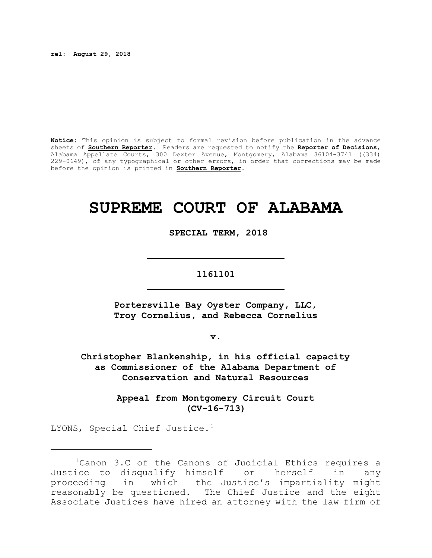**rel: August 29, 2018**

**Notice:** This opinion is subject to formal revision before publication in the advance sheets of **Southern Reporter**. Readers are requested to notify the **Reporter of Decisions**, Alabama Appellate Courts, 300 Dexter Avenue, Montgomery, Alabama 36104-3741 ((334) 229-0649), of any typographical or other errors, in order that corrections may be made before the opinion is printed in **Southern Reporter**.

# **SUPREME COURT OF ALABAMA**

 **SPECIAL TERM, 2018**

# **1161101 \_\_\_\_\_\_\_\_\_\_\_\_\_\_\_\_\_\_\_\_\_\_\_\_\_**

**\_\_\_\_\_\_\_\_\_\_\_\_\_\_\_\_\_\_\_\_\_\_\_\_\_**

**Portersville Bay Oyster Company, LLC, Troy Cornelius, and Rebecca Cornelius** 

**v.**

**Christopher Blankenship, in his official capacity as Commissioner of the Alabama Department of Conservation and Natural Resources**

> **Appeal from Montgomery Circuit Court (CV-16-713)**

LYONS, Special Chief Justice.<sup>1</sup>

<sup>&</sup>lt;sup>1</sup>Canon 3.C of the Canons of Judicial Ethics requires a Justice to disqualify himself or herself in any proceeding in which the Justice's impartiality might reasonably be questioned. The Chief Justice and the eight Associate Justices have hired an attorney with the law firm of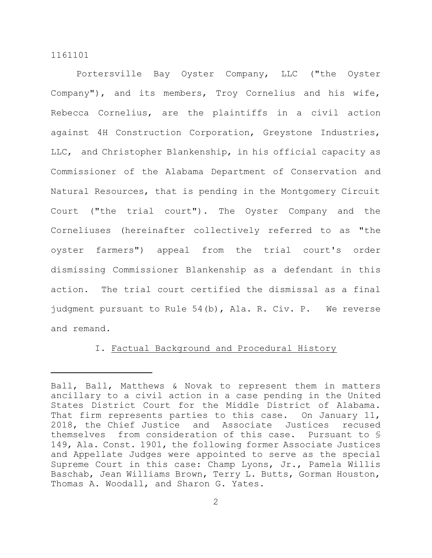Portersville Bay Oyster Company, LLC ("the Oyster Company"), and its members, Troy Cornelius and his wife, Rebecca Cornelius, are the plaintiffs in a civil action against 4H Construction Corporation, Greystone Industries, LLC, and Christopher Blankenship, in his official capacity as Commissioner of the Alabama Department of Conservation and Natural Resources, that is pending in the Montgomery Circuit Court ("the trial court"). The Oyster Company and the Corneliuses (hereinafter collectively referred to as "the oyster farmers") appeal from the trial court's order dismissing Commissioner Blankenship as a defendant in this action. The trial court certified the dismissal as a final judgment pursuant to Rule 54(b), Ala. R. Civ. P. We reverse and remand.

# I. Factual Background and Procedural History

Ball, Ball, Matthews & Novak to represent them in matters ancillary to a civil action in a case pending in the United States District Court for the Middle District of Alabama. That firm represents parties to this case. On January 11, 2018, the Chief Justice and Associate Justices recused themselves from consideration of this case. Pursuant to § 149, Ala. Const. 1901, the following former Associate Justices and Appellate Judges were appointed to serve as the special Supreme Court in this case: Champ Lyons, Jr., Pamela Willis Baschab, Jean Williams Brown, Terry L. Butts, Gorman Houston, Thomas A. Woodall, and Sharon G. Yates.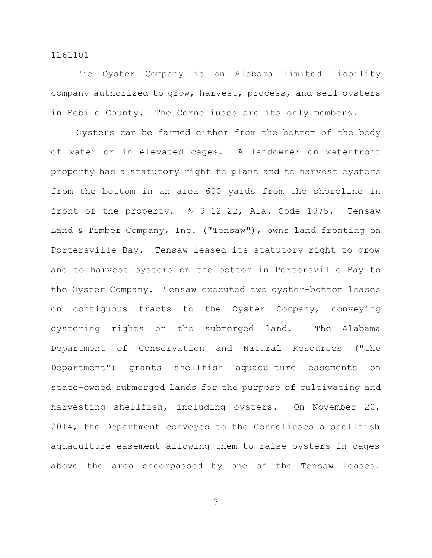The Oyster Company is an Alabama limited liability company authorized to grow, harvest, process, and sell oysters in Mobile County. The Corneliuses are its only members.

Oysters can be farmed either from the bottom of the body of water or in elevated cages. A landowner on waterfront property has a statutory right to plant and to harvest oysters from the bottom in an area 600 yards from the shoreline in front of the property. § 9-12-22, Ala. Code 1975. Tensaw Land & Timber Company, Inc. ("Tensaw"), owns land fronting on Portersville Bay. Tensaw leased its statutory right to grow and to harvest oysters on the bottom in Portersville Bay to the Oyster Company. Tensaw executed two oyster-bottom leases on contiguous tracts to the Oyster Company, conveying oystering rights on the submerged land. The Alabama Department of Conservation and Natural Resources ("the Department") grants shellfish aquaculture easements on state-owned submerged lands for the purpose of cultivating and harvesting shellfish, including oysters. On November 20, 2014, the Department conveyed to the Corneliuses a shellfish aquaculture easement allowing them to raise oysters in cages above the area encompassed by one of the Tensaw leases.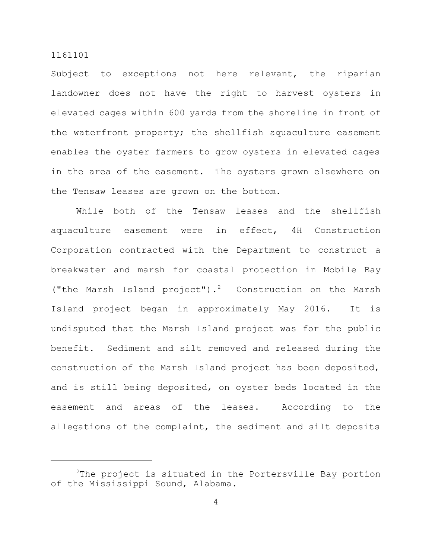Subject to exceptions not here relevant, the riparian landowner does not have the right to harvest oysters in elevated cages within 600 yards from the shoreline in front of the waterfront property; the shellfish aquaculture easement enables the oyster farmers to grow oysters in elevated cages in the area of the easement. The oysters grown elsewhere on the Tensaw leases are grown on the bottom.

While both of the Tensaw leases and the shellfish aquaculture easement were in effect, 4H Construction Corporation contracted with the Department to construct a breakwater and marsh for coastal protection in Mobile Bay ("the Marsh Island project").<sup>2</sup> Construction on the Marsh Island project began in approximately May 2016. It is undisputed that the Marsh Island project was for the public benefit. Sediment and silt removed and released during the construction of the Marsh Island project has been deposited, and is still being deposited, on oyster beds located in the easement and areas of the leases. According to the allegations of the complaint, the sediment and silt deposits

 $2$ The project is situated in the Portersville Bay portion of the Mississippi Sound, Alabama.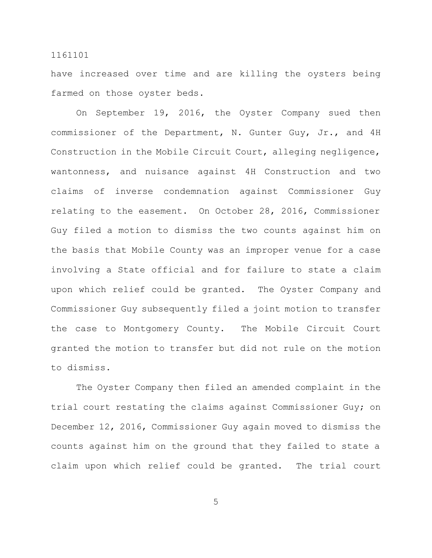have increased over time and are killing the oysters being farmed on those oyster beds.

On September 19, 2016, the Oyster Company sued then commissioner of the Department, N. Gunter Guy, Jr., and 4H Construction in the Mobile Circuit Court, alleging negligence, wantonness, and nuisance against 4H Construction and two claims of inverse condemnation against Commissioner Guy relating to the easement. On October 28, 2016, Commissioner Guy filed a motion to dismiss the two counts against him on the basis that Mobile County was an improper venue for a case involving a State official and for failure to state a claim upon which relief could be granted. The Oyster Company and Commissioner Guy subsequently filed a joint motion to transfer the case to Montgomery County. The Mobile Circuit Court granted the motion to transfer but did not rule on the motion to dismiss.

The Oyster Company then filed an amended complaint in the trial court restating the claims against Commissioner Guy; on December 12, 2016, Commissioner Guy again moved to dismiss the counts against him on the ground that they failed to state a claim upon which relief could be granted. The trial court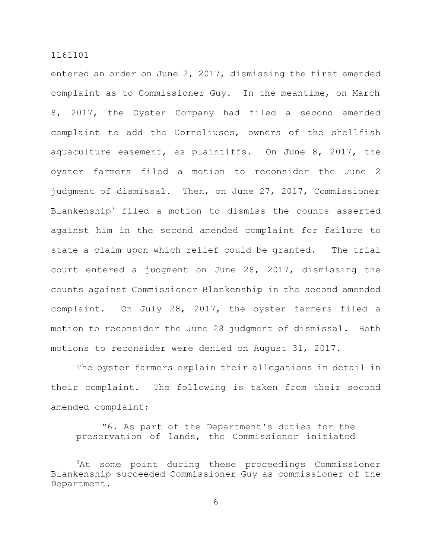entered an order on June 2, 2017, dismissing the first amended complaint as to Commissioner Guy. In the meantime, on March 8, 2017, the Oyster Company had filed a second amended complaint to add the Corneliuses, owners of the shellfish aquaculture easement, as plaintiffs. On June 8, 2017, the oyster farmers filed a motion to reconsider the June 2 judgment of dismissal. Then, on June 27, 2017, Commissioner Blankenship<sup>3</sup> filed a motion to dismiss the counts asserted against him in the second amended complaint for failure to state a claim upon which relief could be granted. The trial court entered a judgment on June 28, 2017, dismissing the counts against Commissioner Blankenship in the second amended complaint. On July 28, 2017, the oyster farmers filed a motion to reconsider the June 28 judgment of dismissal. Both motions to reconsider were denied on August 31, 2017.

The oyster farmers explain their allegations in detail in their complaint. The following is taken from their second amended complaint:

"6. As part of the Department's duties for the preservation of lands, the Commissioner initiated

<sup>&</sup>lt;sup>3</sup>At some point during these proceedings Commissioner Blankenship succeeded Commissioner Guy as commissioner of the Department.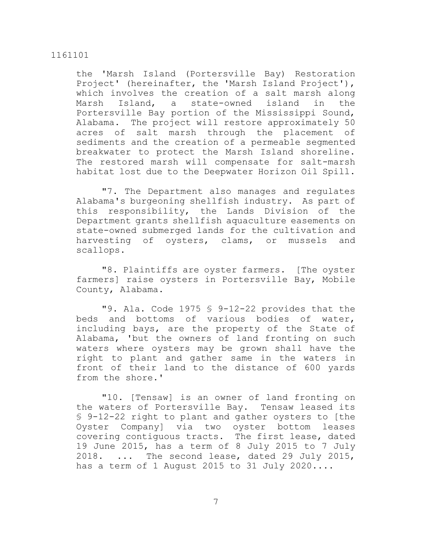# the 'Marsh Island (Portersville Bay) Restoration Project' (hereinafter, the 'Marsh Island Project'), which involves the creation of a salt marsh along Marsh Island, a state-owned island in the Portersville Bay portion of the Mississippi Sound, Alabama. The project will restore approximately 50 acres of salt marsh through the placement of sediments and the creation of a permeable segmented breakwater to protect the Marsh Island shoreline. The restored marsh will compensate for salt-marsh habitat lost due to the Deepwater Horizon Oil Spill.

"7. The Department also manages and regulates Alabama's burgeoning shellfish industry. As part of this responsibility, the Lands Division of the Department grants shellfish aquaculture easements on state-owned submerged lands for the cultivation and harvesting of oysters, clams, or mussels and scallops.

"8. Plaintiffs are oyster farmers. [The oyster farmers] raise oysters in Portersville Bay, Mobile County, Alabama.

"9. Ala. Code 1975 § 9-12-22 provides that the beds and bottoms of various bodies of water, including bays, are the property of the State of Alabama, 'but the owners of land fronting on such waters where oysters may be grown shall have the right to plant and gather same in the waters in front of their land to the distance of 600 yards from the shore.'

"10. [Tensaw] is an owner of land fronting on the waters of Portersville Bay. Tensaw leased its § 9-12-22 right to plant and gather oysters to [the Oyster Company] via two oyster bottom leases covering contiguous tracts. The first lease, dated 19 June 2015, has a term of 8 July 2015 to 7 July 2018. ... The second lease, dated 29 July 2015, has a term of 1 August 2015 to 31 July 2020....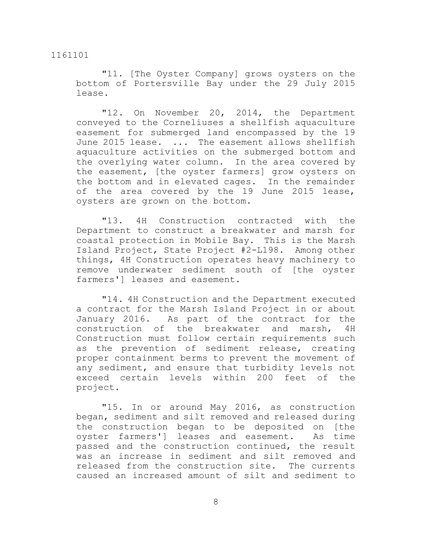"11. [The Oyster Company] grows oysters on the bottom of Portersville Bay under the 29 July 2015 lease.

"12. On November 20, 2014, the Department conveyed to the Corneliuses a shellfish aquaculture easement for submerged land encompassed by the 19 June 2015 lease. ... The easement allows shellfish aquaculture activities on the submerged bottom and the overlying water column. In the area covered by the easement, [the oyster farmers] grow oysters on the bottom and in elevated cages. In the remainder of the area covered by the 19 June 2015 lease, oysters are grown on the bottom.

"13. 4H Construction contracted with the Department to construct a breakwater and marsh for coastal protection in Mobile Bay. This is the Marsh Island Project, State Project #2-L198. Among other things, 4H Construction operates heavy machinery to remove underwater sediment south of [the oyster farmers'] leases and easement.

"14. 4H Construction and the Department executed a contract for the Marsh Island Project in or about January 2016. As part of the contract for the construction of the breakwater and marsh, 4H Construction must follow certain requirements such as the prevention of sediment release, creating proper containment berms to prevent the movement of any sediment, and ensure that turbidity levels not exceed certain levels within 200 feet of the project.

"15. In or around May 2016, as construction began, sediment and silt removed and released during the construction began to be deposited on [the oyster farmers'] leases and easement. As time passed and the construction continued, the result was an increase in sediment and silt removed and released from the construction site. The currents caused an increased amount of silt and sediment to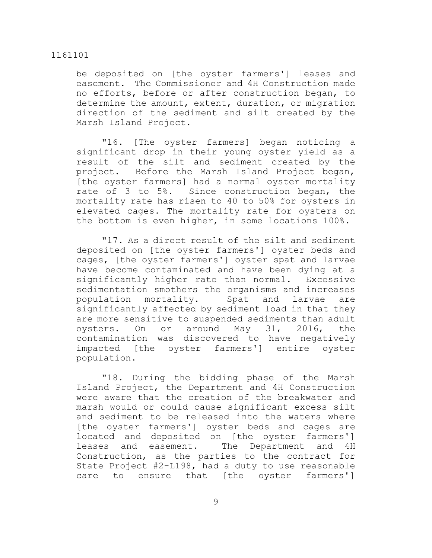be deposited on [the oyster farmers'] leases and easement. The Commissioner and 4H Construction made no efforts, before or after construction began, to determine the amount, extent, duration, or migration direction of the sediment and silt created by the Marsh Island Project.

"16. [The oyster farmers] began noticing a significant drop in their young oyster yield as a result of the silt and sediment created by the project. Before the Marsh Island Project began, [the oyster farmers] had a normal oyster mortality rate of 3 to 5%. Since construction began, the mortality rate has risen to 40 to 50% for oysters in elevated cages. The mortality rate for oysters on the bottom is even higher, in some locations 100%.

"17. As a direct result of the silt and sediment deposited on [the oyster farmers'] oyster beds and cages, [the oyster farmers'] oyster spat and larvae have become contaminated and have been dying at a significantly higher rate than normal. Excessive sedimentation smothers the organisms and increases population mortality. Spat and larvae are significantly affected by sediment load in that they are more sensitive to suspended sediments than adult oysters. On or around May 31, 2016, the contamination was discovered to have negatively impacted [the oyster farmers'] entire oyster population.

"18. During the bidding phase of the Marsh Island Project, the Department and 4H Construction were aware that the creation of the breakwater and marsh would or could cause significant excess silt and sediment to be released into the waters where [the oyster farmers'] oyster beds and cages are located and deposited on [the oyster farmers'] leases and easement. The Department and 4H Construction, as the parties to the contract for State Project #2-L198, had a duty to use reasonable care to ensure that [the oyster farmers']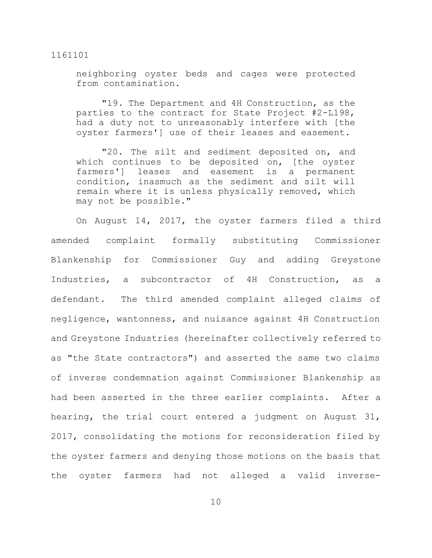neighboring oyster beds and cages were protected from contamination.

"19. The Department and 4H Construction, as the parties to the contract for State Project #2-L198, had a duty not to unreasonably interfere with [the oyster farmers'] use of their leases and easement.

"20. The silt and sediment deposited on, and which continues to be deposited on, [the oyster farmers'] leases and easement is a permanent condition, inasmuch as the sediment and silt will remain where it is unless physically removed, which may not be possible."

On August 14, 2017, the oyster farmers filed a third amended complaint formally substituting Commissioner Blankenship for Commissioner Guy and adding Greystone Industries, a subcontractor of 4H Construction, as a defendant. The third amended complaint alleged claims of negligence, wantonness, and nuisance against 4H Construction and Greystone Industries (hereinafter collectively referred to as "the State contractors") and asserted the same two claims of inverse condemnation against Commissioner Blankenship as had been asserted in the three earlier complaints. After a hearing, the trial court entered a judgment on August 31, 2017, consolidating the motions for reconsideration filed by the oyster farmers and denying those motions on the basis that the oyster farmers had not alleged a valid inverse-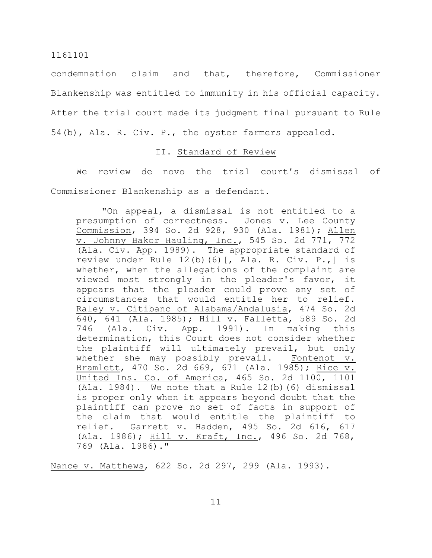condemnation claim and that, therefore, Commissioner Blankenship was entitled to immunity in his official capacity. After the trial court made its judgment final pursuant to Rule 54(b), Ala. R. Civ. P., the oyster farmers appealed.

# II. Standard of Review

We review de novo the trial court's dismissal of Commissioner Blankenship as a defendant.

"On appeal, a dismissal is not entitled to a presumption of correctness. Jones v. Lee County Commission, 394 So. 2d 928, 930 (Ala. 1981); Allen v. Johnny Baker Hauling, Inc., 545 So. 2d 771, 772 (Ala. Civ. App. 1989). The appropriate standard of review under Rule 12(b)(6)[, Ala. R. Civ. P.,] is whether, when the allegations of the complaint are viewed most strongly in the pleader's favor, it appears that the pleader could prove any set of circumstances that would entitle her to relief. Raley v. Citibanc of Alabama/Andalusia, 474 So. 2d 640, 641 (Ala. 1985); Hill v. Falletta, 589 So. 2d 746 (Ala. Civ. App. 1991). In making this determination, this Court does not consider whether the plaintiff will ultimately prevail, but only whether she may possibly prevail. Fontenot v. Bramlett, 470 So. 2d 669, 671 (Ala. 1985); Rice v. United Ins. Co. of America, 465 So. 2d 1100, 1101 (Ala. 1984). We note that a Rule  $12(b)$  (6) dismissal is proper only when it appears beyond doubt that the plaintiff can prove no set of facts in support of the claim that would entitle the plaintiff to relief. Garrett v. Hadden, 495 So. 2d 616, 617 (Ala. 1986); Hill v. Kraft, Inc., 496 So. 2d 768, 769 (Ala. 1986)."

Nance v. Matthews, 622 So. 2d 297, 299 (Ala. 1993).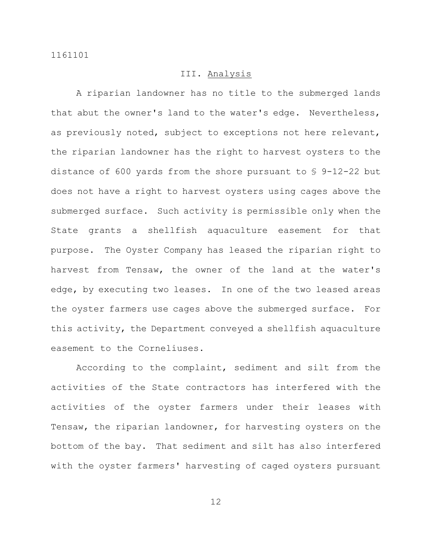# III. Analysis

A riparian landowner has no title to the submerged lands that abut the owner's land to the water's edge. Nevertheless, as previously noted, subject to exceptions not here relevant, the riparian landowner has the right to harvest oysters to the distance of 600 yards from the shore pursuant to § 9-12-22 but does not have a right to harvest oysters using cages above the submerged surface. Such activity is permissible only when the State grants a shellfish aquaculture easement for that purpose. The Oyster Company has leased the riparian right to harvest from Tensaw, the owner of the land at the water's edge, by executing two leases. In one of the two leased areas the oyster farmers use cages above the submerged surface. For this activity, the Department conveyed a shellfish aquaculture easement to the Corneliuses.

According to the complaint, sediment and silt from the activities of the State contractors has interfered with the activities of the oyster farmers under their leases with Tensaw, the riparian landowner, for harvesting oysters on the bottom of the bay. That sediment and silt has also interfered with the oyster farmers' harvesting of caged oysters pursuant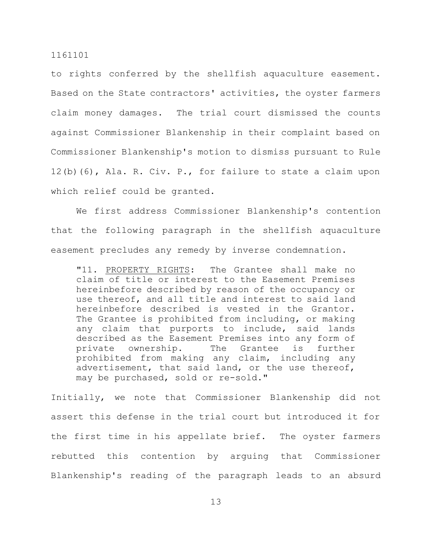to rights conferred by the shellfish aquaculture easement. Based on the State contractors' activities, the oyster farmers claim money damages. The trial court dismissed the counts against Commissioner Blankenship in their complaint based on Commissioner Blankenship's motion to dismiss pursuant to Rule 12(b)(6), Ala. R. Civ. P., for failure to state a claim upon which relief could be granted.

We first address Commissioner Blankenship's contention that the following paragraph in the shellfish aquaculture easement precludes any remedy by inverse condemnation.

"11. PROPERTY RIGHTS: The Grantee shall make no claim of title or interest to the Easement Premises hereinbefore described by reason of the occupancy or use thereof, and all title and interest to said land hereinbefore described is vested in the Grantor. The Grantee is prohibited from including, or making any claim that purports to include, said lands described as the Easement Premises into any form of private ownership. The Grantee is further prohibited from making any claim, including any advertisement, that said land, or the use thereof, may be purchased, sold or re-sold."

Initially, we note that Commissioner Blankenship did not assert this defense in the trial court but introduced it for the first time in his appellate brief. The oyster farmers rebutted this contention by arguing that Commissioner Blankenship's reading of the paragraph leads to an absurd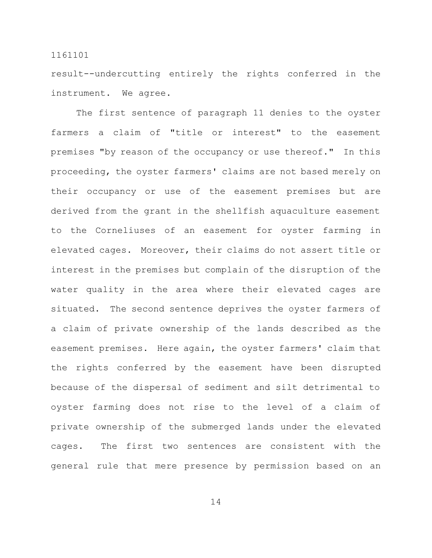result--undercutting entirely the rights conferred in the instrument. We agree.

The first sentence of paragraph 11 denies to the oyster farmers a claim of "title or interest" to the easement premises "by reason of the occupancy or use thereof." In this proceeding, the oyster farmers' claims are not based merely on their occupancy or use of the easement premises but are derived from the grant in the shellfish aquaculture easement to the Corneliuses of an easement for oyster farming in elevated cages. Moreover, their claims do not assert title or interest in the premises but complain of the disruption of the water quality in the area where their elevated cages are situated. The second sentence deprives the oyster farmers of a claim of private ownership of the lands described as the easement premises. Here again, the oyster farmers' claim that the rights conferred by the easement have been disrupted because of the dispersal of sediment and silt detrimental to oyster farming does not rise to the level of a claim of private ownership of the submerged lands under the elevated cages. The first two sentences are consistent with the general rule that mere presence by permission based on an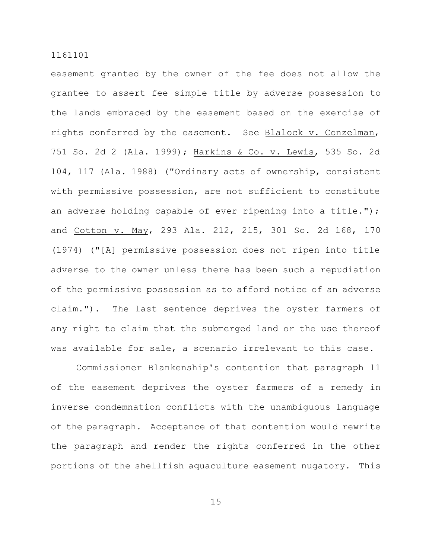easement granted by the owner of the fee does not allow the grantee to assert fee simple title by adverse possession to the lands embraced by the easement based on the exercise of rights conferred by the easement. See Blalock v. Conzelman, 751 So. 2d 2 (Ala. 1999); Harkins & Co. v. Lewis, 535 So. 2d 104, 117 (Ala. 1988) ("Ordinary acts of ownership, consistent with permissive possession, are not sufficient to constitute an adverse holding capable of ever ripening into a title."); and Cotton v. May, 293 Ala. 212, 215, 301 So. 2d 168, 170 (1974) ("[A] permissive possession does not ripen into title adverse to the owner unless there has been such a repudiation of the permissive possession as to afford notice of an adverse claim."). The last sentence deprives the oyster farmers of any right to claim that the submerged land or the use thereof was available for sale, a scenario irrelevant to this case.

Commissioner Blankenship's contention that paragraph 11 of the easement deprives the oyster farmers of a remedy in inverse condemnation conflicts with the unambiguous language of the paragraph. Acceptance of that contention would rewrite the paragraph and render the rights conferred in the other portions of the shellfish aquaculture easement nugatory. This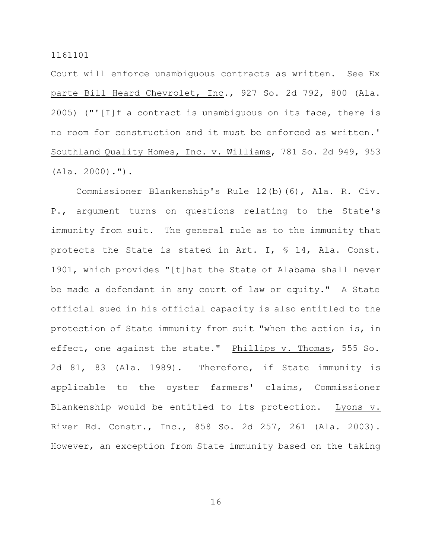Court will enforce unambiguous contracts as written. See Ex parte Bill Heard Chevrolet, Inc., 927 So. 2d 792, 800 (Ala. 2005) ("' $[I]$ f a contract is unambiguous on its face, there is no room for construction and it must be enforced as written.' Southland Quality Homes, Inc. v. Williams, 781 So. 2d 949, 953 (Ala. 2000).").

Commissioner Blankenship's Rule 12(b)(6), Ala. R. Civ. P., argument turns on questions relating to the State's immunity from suit. The general rule as to the immunity that protects the State is stated in Art. I, § 14, Ala. Const. 1901, which provides "[t]hat the State of Alabama shall never be made a defendant in any court of law or equity." A State official sued in his official capacity is also entitled to the protection of State immunity from suit "when the action is, in effect, one against the state." Phillips v. Thomas, 555 So. 2d 81, 83 (Ala. 1989). Therefore, if State immunity is applicable to the oyster farmers' claims, Commissioner Blankenship would be entitled to its protection. Lyons v. River Rd. Constr., Inc., 858 So. 2d 257, 261 (Ala. 2003). However, an exception from State immunity based on the taking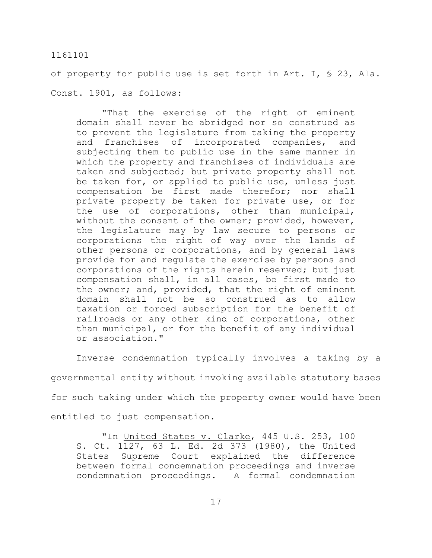of property for public use is set forth in Art. I, § 23, Ala. Const. 1901, as follows:

"That the exercise of the right of eminent domain shall never be abridged nor so construed as to prevent the legislature from taking the property and franchises of incorporated companies, and subjecting them to public use in the same manner in which the property and franchises of individuals are taken and subjected; but private property shall not be taken for, or applied to public use, unless just compensation be first made therefor; nor shall private property be taken for private use, or for the use of corporations, other than municipal, without the consent of the owner; provided, however, the legislature may by law secure to persons or corporations the right of way over the lands of other persons or corporations, and by general laws provide for and regulate the exercise by persons and corporations of the rights herein reserved; but just compensation shall, in all cases, be first made to the owner; and, provided, that the right of eminent domain shall not be so construed as to allow taxation or forced subscription for the benefit of railroads or any other kind of corporations, other than municipal, or for the benefit of any individual or association."

Inverse condemnation typically involves a taking by a governmental entity without invoking available statutory bases for such taking under which the property owner would have been entitled to just compensation.

"In United States v. Clarke, 445 U.S. 253, 100 S. Ct. 1127, 63 L. Ed. 2d 373 (1980), the United States Supreme Court explained the difference between formal condemnation proceedings and inverse condemnation proceedings. A formal condemnation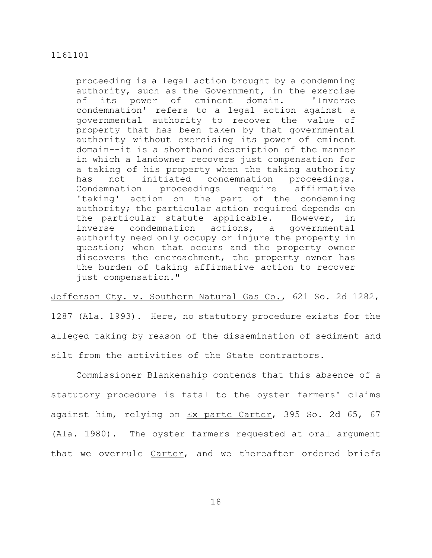proceeding is a legal action brought by a condemning authority, such as the Government, in the exercise of its power of eminent domain. 'Inverse condemnation' refers to a legal action against a governmental authority to recover the value of property that has been taken by that governmental authority without exercising its power of eminent domain--it is a shorthand description of the manner in which a landowner recovers just compensation for a taking of his property when the taking authority has not initiated condemnation proceedings. Condemnation proceedings require affirmative 'taking' action on the part of the condemning authority; the particular action required depends on the particular statute applicable. However, in inverse condemnation actions, a governmental authority need only occupy or injure the property in question; when that occurs and the property owner discovers the encroachment, the property owner has the burden of taking affirmative action to recover just compensation."

Jefferson Cty. v. Southern Natural Gas Co., 621 So. 2d 1282, 1287 (Ala. 1993). Here, no statutory procedure exists for the alleged taking by reason of the dissemination of sediment and silt from the activities of the State contractors.

Commissioner Blankenship contends that this absence of a statutory procedure is fatal to the oyster farmers' claims against him, relying on Ex parte Carter, 395 So. 2d 65, 67 (Ala. 1980). The oyster farmers requested at oral argument that we overrule Carter, and we thereafter ordered briefs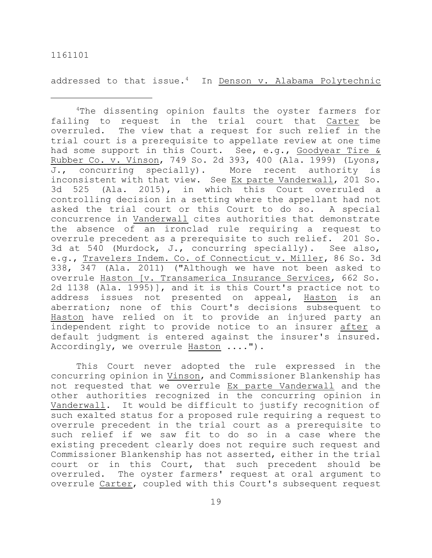addressed to that issue.<sup>4</sup> In Denson v. Alabama Polytechnic

<sup>4</sup>The dissenting opinion faults the oyster farmers for failing to request in the trial court that Carter be overruled. The view that a request for such relief in the trial court is a prerequisite to appellate review at one time had some support in this Court. See, e.g., Goodyear Tire & Rubber Co. v. Vinson, 749 So. 2d 393, 400 (Ala. 1999) (Lyons, J., concurring specially). More recent authority is inconsistent with that view. See Ex parte Vanderwall, 201 So. 3d 525 (Ala. 2015), in which this Court overruled a controlling decision in a setting where the appellant had not asked the trial court or this Court to do so. A special concurrence in Vanderwall cites authorities that demonstrate the absence of an ironclad rule requiring a request to overrule precedent as a prerequisite to such relief. 201 So. 3d at 540 (Murdock, J., concurring specially). See also, e.g., Travelers Indem. Co. of Connecticut v. Miller, 86 So. 3d 338, 347 (Ala. 2011) ("Although we have not been asked to overrule Haston [v. Transamerica Insurance Services, 662 So. 2d 1138 (Ala. 1995)], and it is this Court's practice not to address issues not presented on appeal, Haston is an aberration; none of this Court's decisions subsequent to Haston have relied on it to provide an injured party an independent right to provide notice to an insurer after a default judgment is entered against the insurer's insured. Accordingly, we overrule Haston ....").

This Court never adopted the rule expressed in the concurring opinion in Vinson, and Commissioner Blankenship has not requested that we overrule Ex parte Vanderwall and the other authorities recognized in the concurring opinion in Vanderwall. It would be difficult to justify recognition of such exalted status for a proposed rule requiring a request to overrule precedent in the trial court as a prerequisite to such relief if we saw fit to do so in a case where the existing precedent clearly does not require such request and Commissioner Blankenship has not asserted, either in the trial court or in this Court, that such precedent should be overruled. The oyster farmers' request at oral argument to overrule Carter, coupled with this Court's subsequent request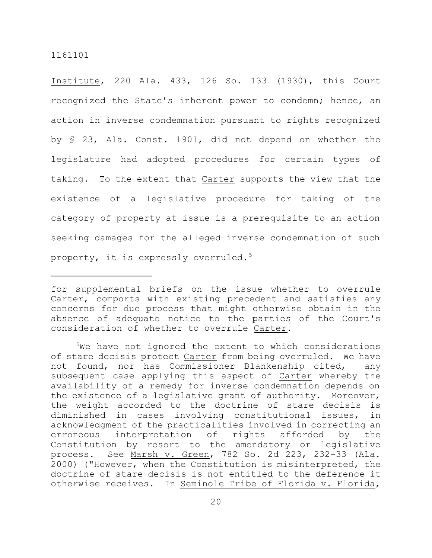Institute, 220 Ala. 433, 126 So. 133 (1930), this Court recognized the State's inherent power to condemn; hence, an action in inverse condemnation pursuant to rights recognized by § 23, Ala. Const. 1901, did not depend on whether the legislature had adopted procedures for certain types of taking. To the extent that Carter supports the view that the existence of a legislative procedure for taking of the category of property at issue is a prerequisite to an action seeking damages for the alleged inverse condemnation of such property, it is expressly overruled.<sup>5</sup>

for supplemental briefs on the issue whether to overrule Carter, comports with existing precedent and satisfies any concerns for due process that might otherwise obtain in the absence of adequate notice to the parties of the Court's consideration of whether to overrule Carter.

<sup>&</sup>lt;sup>5</sup>We have not ignored the extent to which considerations of stare decisis protect Carter from being overruled. We have not found, nor has Commissioner Blankenship cited, any subsequent case applying this aspect of Carter whereby the availability of a remedy for inverse condemnation depends on the existence of a legislative grant of authority. Moreover, the weight accorded to the doctrine of stare decisis is diminished in cases involving constitutional issues, in acknowledgment of the practicalities involved in correcting an erroneous interpretation of rights afforded by the Constitution by resort to the amendatory or legislative process. See Marsh v. Green, 782 So. 2d 223, 232-33 (Ala. 2000) ("However, when the Constitution is misinterpreted, the doctrine of stare decisis is not entitled to the deference it otherwise receives. In Seminole Tribe of Florida v. Florida,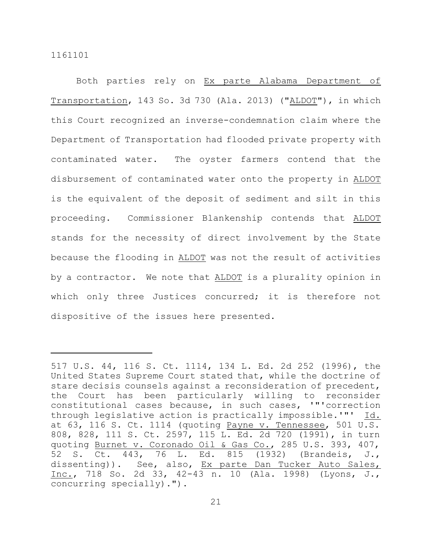Both parties rely on Ex parte Alabama Department of Transportation, 143 So. 3d 730 (Ala. 2013) ("ALDOT"), in which this Court recognized an inverse-condemnation claim where the Department of Transportation had flooded private property with contaminated water. The oyster farmers contend that the disbursement of contaminated water onto the property in ALDOT is the equivalent of the deposit of sediment and silt in this proceeding. Commissioner Blankenship contends that ALDOT stands for the necessity of direct involvement by the State because the flooding in ALDOT was not the result of activities by a contractor. We note that ALDOT is a plurality opinion in which only three Justices concurred; it is therefore not dispositive of the issues here presented.

<sup>517</sup> U.S. 44, 116 S. Ct. 1114, 134 L. Ed. 2d 252 (1996), the United States Supreme Court stated that, while the doctrine of stare decisis counsels against a reconsideration of precedent, the Court has been particularly willing to reconsider constitutional cases because, in such cases, '"'correction through legislative action is practically impossible.'"' Id. at 63, 116 S. Ct. 1114 (quoting Payne v. Tennessee, 501 U.S. 808, 828, 111 S. Ct. 2597, 115 L. Ed. 2d 720 (1991), in turn quoting Burnet v. Coronado Oil & Gas Co., 285 U.S. 393, 407, 52 S. Ct. 443, 76 L. Ed. 815 (1932) (Brandeis, J., dissenting)). See, also, Ex parte Dan Tucker Auto Sales, Inc., 718 So. 2d 33, 42-43 n. 10 (Ala. 1998) (Lyons, J., concurring specially).").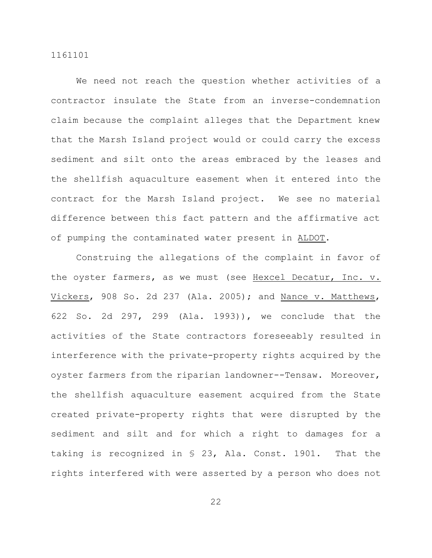We need not reach the question whether activities of a contractor insulate the State from an inverse-condemnation claim because the complaint alleges that the Department knew that the Marsh Island project would or could carry the excess sediment and silt onto the areas embraced by the leases and the shellfish aquaculture easement when it entered into the contract for the Marsh Island project. We see no material difference between this fact pattern and the affirmative act of pumping the contaminated water present in ALDOT.

Construing the allegations of the complaint in favor of the oyster farmers, as we must (see Hexcel Decatur, Inc. v. Vickers, 908 So. 2d 237 (Ala. 2005); and Nance v. Matthews, 622 So. 2d 297, 299 (Ala. 1993)), we conclude that the activities of the State contractors foreseeably resulted in interference with the private-property rights acquired by the oyster farmers from the riparian landowner--Tensaw. Moreover, the shellfish aquaculture easement acquired from the State created private-property rights that were disrupted by the sediment and silt and for which a right to damages for a taking is recognized in § 23, Ala. Const. 1901. That the rights interfered with were asserted by a person who does not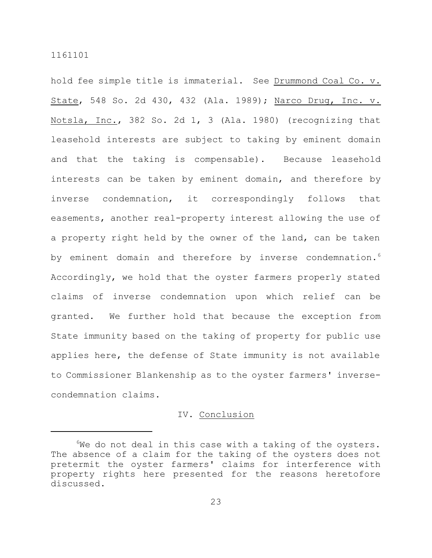hold fee simple title is immaterial. See Drummond Coal Co. v. State, 548 So. 2d 430, 432 (Ala. 1989); Narco Drug, Inc. v. Notsla, Inc., 382 So. 2d 1, 3 (Ala. 1980) (recognizing that leasehold interests are subject to taking by eminent domain and that the taking is compensable). Because leasehold interests can be taken by eminent domain, and therefore by inverse condemnation, it correspondingly follows that easements, another real-property interest allowing the use of a property right held by the owner of the land, can be taken by eminent domain and therefore by inverse condemnation.<sup>6</sup> Accordingly, we hold that the oyster farmers properly stated claims of inverse condemnation upon which relief can be granted. We further hold that because the exception from State immunity based on the taking of property for public use applies here, the defense of State immunity is not available to Commissioner Blankenship as to the oyster farmers' inversecondemnation claims.

# IV. Conclusion

 $6W$ e do not deal in this case with a taking of the oysters. The absence of a claim for the taking of the oysters does not pretermit the oyster farmers' claims for interference with property rights here presented for the reasons heretofore discussed.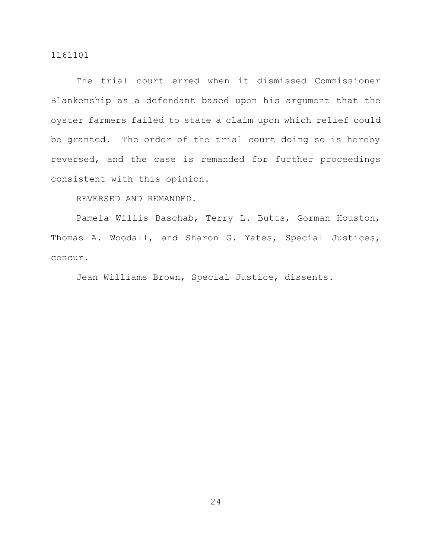The trial court erred when it dismissed Commissioner Blankenship as a defendant based upon his argument that the oyster farmers failed to state a claim upon which relief could be granted. The order of the trial court doing so is hereby reversed, and the case is remanded for further proceedings consistent with this opinion.

REVERSED AND REMANDED.

Pamela Willis Baschab, Terry L. Butts, Gorman Houston, Thomas A. Woodall, and Sharon G. Yates, Special Justices, concur.

Jean Williams Brown, Special Justice, dissents.